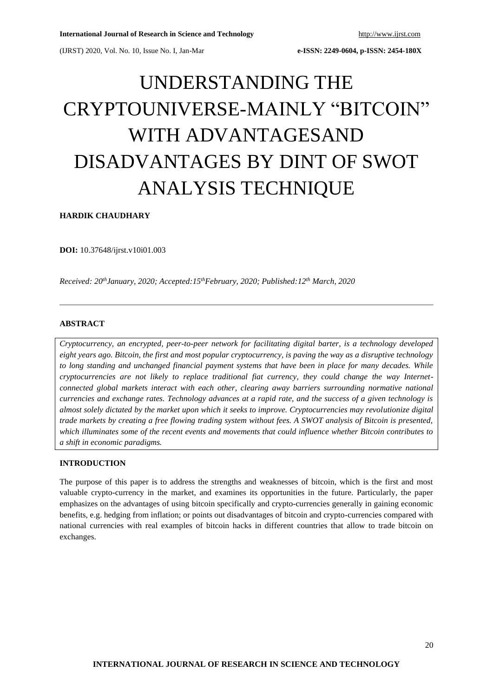# UNDERSTANDING THE CRYPTOUNIVERSE-MAINLY "BITCOIN" WITH ADVANTAGESAND DISADVANTAGES BY DINT OF SWOT ANALYSIS TECHNIQUE

**HARDIK CHAUDHARY**

**DOI:** 10.37648/ijrst.v10i01.003

*Received: 20thJanuary, 2020; Accepted:15 thFebruary, 2020; Published:12 th March, 2020*

# **ABSTRACT**

*Cryptocurrency, an encrypted, peer-to-peer network for facilitating digital barter, is a technology developed eight years ago. Bitcoin, the first and most popular cryptocurrency, is paving the way as a disruptive technology to long standing and unchanged financial payment systems that have been in place for many decades. While cryptocurrencies are not likely to replace traditional fiat currency, they could change the way Internetconnected global markets interact with each other, clearing away barriers surrounding normative national currencies and exchange rates. Technology advances at a rapid rate, and the success of a given technology is almost solely dictated by the market upon which it seeks to improve. Cryptocurrencies may revolutionize digital trade markets by creating a free flowing trading system without fees. A SWOT analysis of Bitcoin is presented, which illuminates some of the recent events and movements that could influence whether Bitcoin contributes to a shift in economic paradigms.*

### **INTRODUCTION**

The purpose of this paper is to address the strengths and weaknesses of bitcoin, which is the first and most valuable crypto-currency in the market, and examines its opportunities in the future. Particularly, the paper emphasizes on the advantages of using bitcoin specifically and crypto-currencies generally in gaining economic benefits, e.g. hedging from inflation; or points out disadvantages of bitcoin and crypto-currencies compared with national currencies with real examples of bitcoin hacks in different countries that allow to trade bitcoin on exchanges.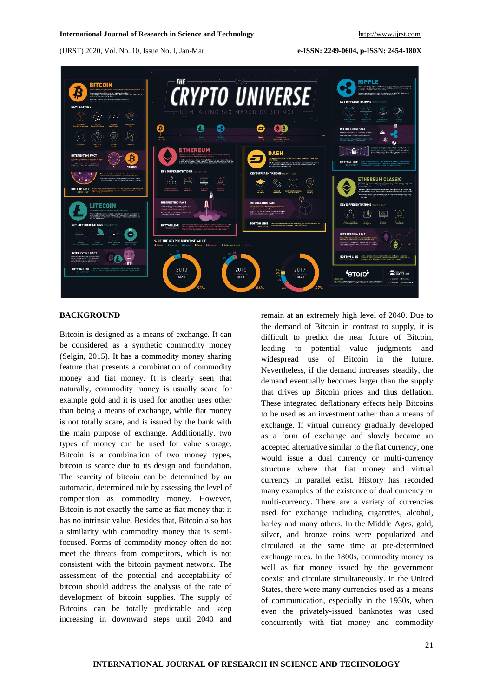### **International Journal of Research in Science and Technology** [http://www.ijrst.com](http://www.ijrst.com/)

(IJRST) 2020, Vol. No. 10, Issue No. I, Jan-Mar **e-ISSN: 2249-0604, p-ISSN: 2454-180X**



### **BACKGROUND**

Bitcoin is designed as a means of exchange. It can be considered as a synthetic commodity money (Selgin, 2015). It has a commodity money sharing feature that presents a combination of commodity money and fiat money. It is clearly seen that naturally, commodity money is usually scare for example gold and it is used for another uses other than being a means of exchange, while fiat money is not totally scare, and is issued by the bank with the main purpose of exchange. Additionally, two types of money can be used for value storage. Bitcoin is a combination of two money types, bitcoin is scarce due to its design and foundation. The scarcity of bitcoin can be determined by an automatic, determined rule by assessing the level of competition as commodity money. However, Bitcoin is not exactly the same as fiat money that it has no intrinsic value. Besides that, Bitcoin also has a similarity with commodity money that is semifocused. Forms of commodity money often do not meet the threats from competitors, which is not consistent with the bitcoin payment network. The assessment of the potential and acceptability of bitcoin should address the analysis of the rate of development of bitcoin supplies. The supply of Bitcoins can be totally predictable and keep increasing in downward steps until 2040 and

remain at an extremely high level of 2040. Due to the demand of Bitcoin in contrast to supply, it is difficult to predict the near future of Bitcoin, leading to potential value judgments and widespread use of Bitcoin in the future. Nevertheless, if the demand increases steadily, the demand eventually becomes larger than the supply that drives up Bitcoin prices and thus deflation. These integrated deflationary effects help Bitcoins to be used as an investment rather than a means of exchange. If virtual currency gradually developed as a form of exchange and slowly became an accepted alternative similar to the fiat currency, one would issue a dual currency or multi-currency structure where that fiat money and virtual currency in parallel exist. History has recorded many examples of the existence of dual currency or multi-currency. There are a variety of currencies used for exchange including cigarettes, alcohol, barley and many others. In the Middle Ages, gold, silver, and bronze coins were popularized and circulated at the same time at pre-determined exchange rates. In the 1800s, commodity money as well as fiat money issued by the government coexist and circulate simultaneously. In the United States, there were many currencies used as a means of communication, especially in the 1930s, when even the privately-issued banknotes was used concurrently with fiat money and commodity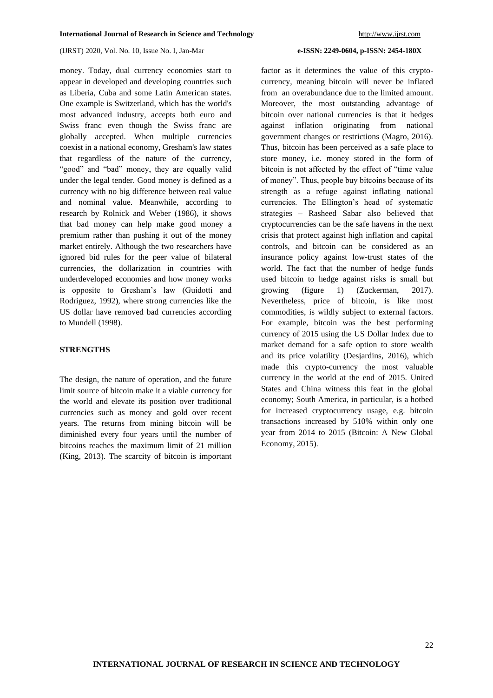money. Today, dual currency economies start to appear in developed and developing countries such as Liberia, Cuba and some Latin American states. One example is Switzerland, which has the world's most advanced industry, accepts both euro and Swiss franc even though the Swiss franc are globally accepted. When multiple currencies coexist in a national economy, Gresham's law states that regardless of the nature of the currency, "good" and "bad" money, they are equally valid under the legal tender. Good money is defined as a currency with no big difference between real value and nominal value. Meanwhile, according to research by Rolnick and Weber (1986), it shows that bad money can help make good money a premium rather than pushing it out of the money market entirely. Although the two researchers have ignored bid rules for the peer value of bilateral currencies, the dollarization in countries with underdeveloped economies and how money works is opposite to Gresham's law (Guidotti and Rodriguez, 1992), where strong currencies like the US dollar have removed bad currencies according to Mundell (1998).

### **STRENGTHS**

The design, the nature of operation, and the future limit source of bitcoin make it a viable currency for the world and elevate its position over traditional currencies such as money and gold over recent years. The returns from mining bitcoin will be diminished every four years until the number of bitcoins reaches the maximum limit of 21 million (King, 2013). The scarcity of bitcoin is important

factor as it determines the value of this cryptocurrency, meaning bitcoin will never be inflated from an overabundance due to the limited amount. Moreover, the most outstanding advantage of bitcoin over national currencies is that it hedges against inflation originating from national government changes or restrictions (Magro, 2016). Thus, bitcoin has been perceived as a safe place to store money, i.e. money stored in the form of bitcoin is not affected by the effect of "time value of money". Thus, people buy bitcoins because of its strength as a refuge against inflating national currencies. The Ellington's head of systematic strategies – Rasheed Sabar also believed that cryptocurrencies can be the safe havens in the next crisis that protect against high inflation and capital controls, and bitcoin can be considered as an insurance policy against low-trust states of the world. The fact that the number of hedge funds used bitcoin to hedge against risks is small but growing (figure 1) (Zuckerman, 2017). Nevertheless, price of bitcoin, is like most commodities, is wildly subject to external factors. For example, bitcoin was the best performing currency of 2015 using the US Dollar Index due to market demand for a safe option to store wealth and its price volatility (Desjardins, 2016), which made this crypto-currency the most valuable currency in the world at the end of 2015. United States and China witness this feat in the global economy; South America, in particular, is a hotbed for increased cryptocurrency usage, e.g. bitcoin transactions increased by 510% within only one year from 2014 to 2015 (Bitcoin: A New Global Economy, 2015).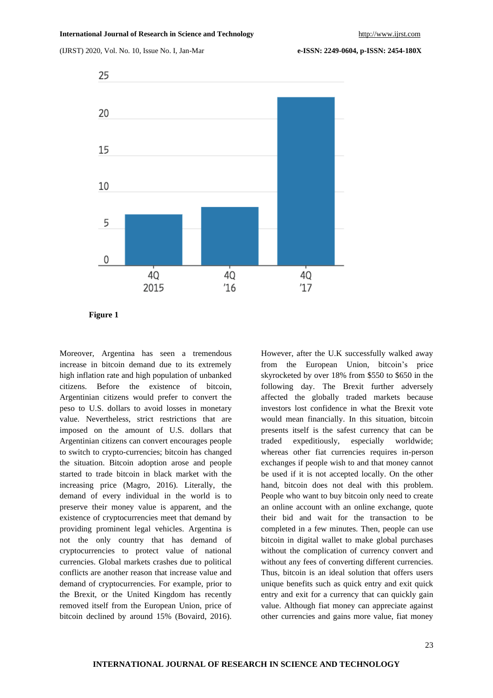

**Figure 1**

Moreover, Argentina has seen a tremendous increase in bitcoin demand due to its extremely high inflation rate and high population of unbanked citizens. Before the existence of bitcoin, Argentinian citizens would prefer to convert the peso to U.S. dollars to avoid losses in monetary value. Nevertheless, strict restrictions that are imposed on the amount of U.S. dollars that Argentinian citizens can convert encourages people to switch to crypto-currencies; bitcoin has changed the situation. Bitcoin adoption arose and people started to trade bitcoin in black market with the increasing price (Magro, 2016). Literally, the demand of every individual in the world is to preserve their money value is apparent, and the existence of cryptocurrencies meet that demand by providing prominent legal vehicles. Argentina is not the only country that has demand of cryptocurrencies to protect value of national currencies. Global markets crashes due to political conflicts are another reason that increase value and demand of cryptocurrencies. For example, prior to the Brexit, or the United Kingdom has recently removed itself from the European Union, price of bitcoin declined by around 15% (Bovaird, 2016).

However, after the U.K successfully walked away from the European Union, bitcoin's price skyrocketed by over 18% from \$550 to \$650 in the following day. The Brexit further adversely affected the globally traded markets because investors lost confidence in what the Brexit vote would mean financially. In this situation, bitcoin presents itself is the safest currency that can be traded expeditiously, especially worldwide; whereas other fiat currencies requires in-person exchanges if people wish to and that money cannot be used if it is not accepted locally. On the other hand, bitcoin does not deal with this problem. People who want to buy bitcoin only need to create an online account with an online exchange, quote their bid and wait for the transaction to be completed in a few minutes. Then, people can use bitcoin in digital wallet to make global purchases without the complication of currency convert and without any fees of converting different currencies. Thus, bitcoin is an ideal solution that offers users unique benefits such as quick entry and exit quick entry and exit for a currency that can quickly gain value. Although fiat money can appreciate against other currencies and gains more value, fiat money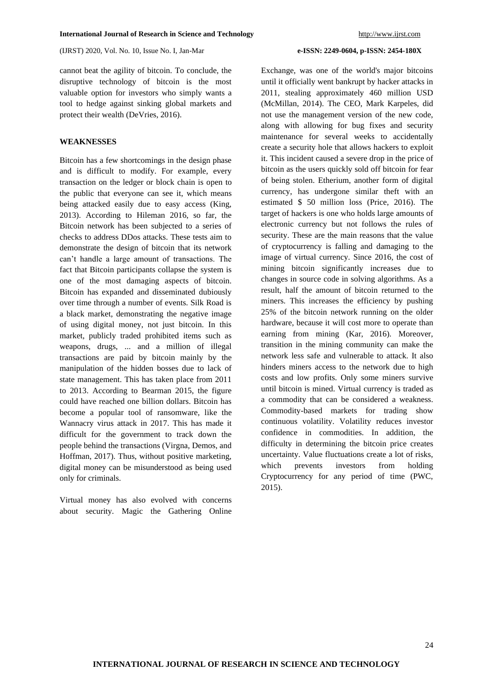cannot beat the agility of bitcoin. To conclude, the disruptive technology of bitcoin is the most valuable option for investors who simply wants a tool to hedge against sinking global markets and protect their wealth (DeVries, 2016).

## **WEAKNESSES**

Bitcoin has a few shortcomings in the design phase and is difficult to modify. For example, every transaction on the ledger or block chain is open to the public that everyone can see it, which means being attacked easily due to easy access (King, 2013). According to Hileman 2016, so far, the Bitcoin network has been subjected to a series of checks to address DDos attacks. These tests aim to demonstrate the design of bitcoin that its network can't handle a large amount of transactions. The fact that Bitcoin participants collapse the system is one of the most damaging aspects of bitcoin. Bitcoin has expanded and disseminated dubiously over time through a number of events. Silk Road is a black market, demonstrating the negative image of using digital money, not just bitcoin. In this market, publicly traded prohibited items such as weapons, drugs, ... and a million of illegal transactions are paid by bitcoin mainly by the manipulation of the hidden bosses due to lack of state management. This has taken place from 2011 to 2013. According to Bearman 2015, the figure could have reached one billion dollars. Bitcoin has become a popular tool of ransomware, like the Wannacry virus attack in 2017. This has made it difficult for the government to track down the people behind the transactions (Virgna, Demos, and Hoffman, 2017). Thus, without positive marketing, digital money can be misunderstood as being used only for criminals.

Virtual money has also evolved with concerns about security. Magic the Gathering Online

Exchange, was one of the world's major bitcoins until it officially went bankrupt by hacker attacks in 2011, stealing approximately 460 million USD (McMillan, 2014). The CEO, Mark Karpeles, did not use the management version of the new code, along with allowing for bug fixes and security maintenance for several weeks to accidentally create a security hole that allows hackers to exploit it. This incident caused a severe drop in the price of bitcoin as the users quickly sold off bitcoin for fear of being stolen. Etherium, another form of digital currency, has undergone similar theft with an estimated \$ 50 million loss (Price, 2016). The target of hackers is one who holds large amounts of electronic currency but not follows the rules of security. These are the main reasons that the value of cryptocurrency is falling and damaging to the image of virtual currency. Since 2016, the cost of mining bitcoin significantly increases due to changes in source code in solving algorithms. As a result, half the amount of bitcoin returned to the miners. This increases the efficiency by pushing 25% of the bitcoin network running on the older hardware, because it will cost more to operate than earning from mining (Kar, 2016). Moreover, transition in the mining community can make the network less safe and vulnerable to attack. It also hinders miners access to the network due to high costs and low profits. Only some miners survive until bitcoin is mined. Virtual currency is traded as a commodity that can be considered a weakness. Commodity-based markets for trading show continuous volatility. Volatility reduces investor confidence in commodities. In addition, the difficulty in determining the bitcoin price creates uncertainty. Value fluctuations create a lot of risks, which prevents investors from holding Cryptocurrency for any period of time (PWC, 2015).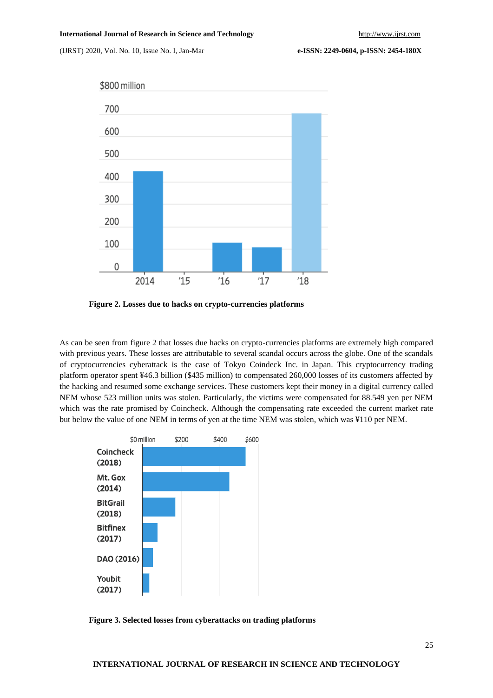



**Figure 2. Losses due to hacks on crypto-currencies platforms**

As can be seen from figure 2 that losses due hacks on crypto-currencies platforms are extremely high compared with previous years. These losses are attributable to several scandal occurs across the globe. One of the scandals of cryptocurrencies cyberattack is the case of Tokyo Coindeck Inc. in Japan. This cryptocurrency trading platform operator spent ¥46.3 billion (\$435 million) to compensated 260,000 losses of its customers affected by the hacking and resumed some exchange services. These customers kept their money in a digital currency called NEM whose 523 million units was stolen. Particularly, the victims were compensated for 88.549 yen per NEM which was the rate promised by Coincheck. Although the compensating rate exceeded the current market rate but below the value of one NEM in terms of yen at the time NEM was stolen, which was ¥110 per NEM.



**Figure 3. Selected losses from cyberattacks on trading platforms**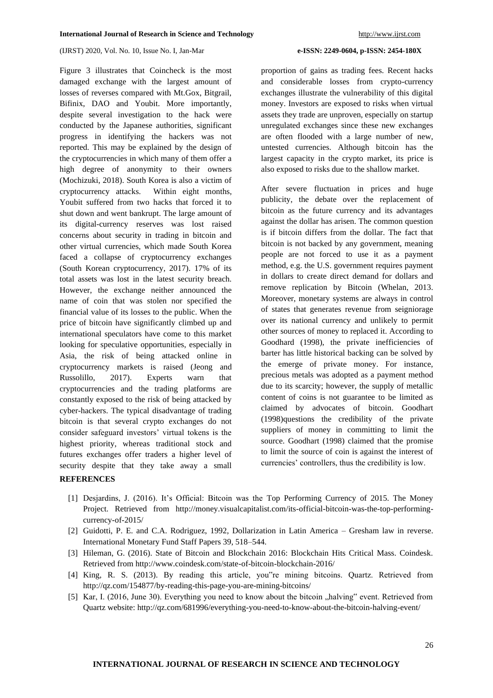Figure 3 illustrates that Coincheck is the most damaged exchange with the largest amount of losses of reverses compared with Mt.Gox, Bitgrail, Bifinix, DAO and Youbit. More importantly, despite several investigation to the hack were conducted by the Japanese authorities, significant progress in identifying the hackers was not reported. This may be explained by the design of the cryptocurrencies in which many of them offer a high degree of anonymity to their owners (Mochizuki, 2018). South Korea is also a victim of cryptocurrency attacks. Within eight months, Youbit suffered from two hacks that forced it to shut down and went bankrupt. The large amount of its digital-currency reserves was lost raised concerns about security in trading in bitcoin and other virtual currencies, which made South Korea faced a collapse of cryptocurrency exchanges (South Korean cryptocurrency, 2017). 17% of its total assets was lost in the latest security breach. However, the exchange neither announced the name of coin that was stolen nor specified the financial value of its losses to the public. When the price of bitcoin have significantly climbed up and international speculators have come to this market looking for speculative opportunities, especially in Asia, the risk of being attacked online in cryptocurrency markets is raised (Jeong and Russolillo, 2017). Experts warn that cryptocurrencies and the trading platforms are constantly exposed to the risk of being attacked by cyber-hackers. The typical disadvantage of trading bitcoin is that several crypto exchanges do not consider safeguard investors' virtual tokens is the highest priority, whereas traditional stock and futures exchanges offer traders a higher level of security despite that they take away a small

proportion of gains as trading fees. Recent hacks and considerable losses from crypto-currency exchanges illustrate the vulnerability of this digital money. Investors are exposed to risks when virtual assets they trade are unproven, especially on startup unregulated exchanges since these new exchanges are often flooded with a large number of new, untested currencies. Although bitcoin has the largest capacity in the crypto market, its price is also exposed to risks due to the shallow market.

After severe fluctuation in prices and huge publicity, the debate over the replacement of bitcoin as the future currency and its advantages against the dollar has arisen. The common question is if bitcoin differs from the dollar. The fact that bitcoin is not backed by any government, meaning people are not forced to use it as a payment method, e.g. the U.S. government requires payment in dollars to create direct demand for dollars and remove replication by Bitcoin (Whelan, 2013. Moreover, monetary systems are always in control of states that generates revenue from seigniorage over its national currency and unlikely to permit other sources of money to replaced it. According to Goodhard (1998), the private inefficiencies of barter has little historical backing can be solved by the emerge of private money. For instance, precious metals was adopted as a payment method due to its scarcity; however, the supply of metallic content of coins is not guarantee to be limited as claimed by advocates of bitcoin. Goodhart (1998)questions the credibility of the private suppliers of money in committing to limit the source. Goodhart (1998) claimed that the promise to limit the source of coin is against the interest of currencies' controllers, thus the credibility is low.

### **REFERENCES**

- [1] Desjardins, J. (2016). It's Official: Bitcoin was the Top Performing Currency of 2015. The Money Project. Retrieved from http://money.visualcapitalist.com/its-official-bitcoin-was-the-top-performingcurrency-of-2015/
- [2] Guidotti, P. E. and C.A. Rodriguez, 1992, Dollarization in Latin America Gresham law in reverse. International Monetary Fund Staff Papers 39, 518–544.
- [3] Hileman, G. (2016). State of Bitcoin and Blockchain 2016: Blockchain Hits Critical Mass. Coindesk. Retrieved from http://www.coindesk.com/state-of-bitcoin-blockchain-2016/
- [4] King, R. S. (2013). By reading this article, you"re mining bitcoins. Quartz. Retrieved from http://qz.com/154877/by-reading-this-page-you-are-mining-bitcoins/
- [5] Kar, I. (2016, June 30). Everything you need to know about the bitcoin "halving" event. Retrieved from Quartz website: http://qz.com/681996/everything-you-need-to-know-about-the-bitcoin-halving-event/